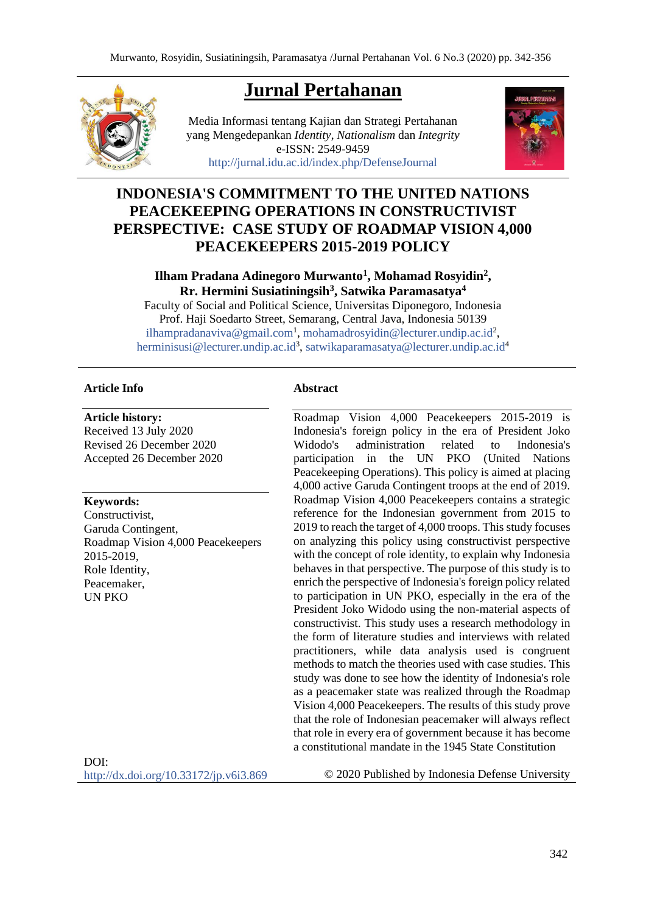**Jurnal Pertahanan**

Media Informasi tentang Kajian dan Strategi Pertahanan yang Mengedepankan *Identity*, *Nationalism* dan *Integrity* e-ISSN: 2549-9459 <http://jurnal.idu.ac.id/index.php/DefenseJournal>



# **INDONESIA'S COMMITMENT TO THE UNITED NATIONS PEACEKEEPING OPERATIONS IN CONSTRUCTIVIST PERSPECTIVE: CASE STUDY OF ROADMAP VISION 4,000 PEACEKEEPERS 2015-2019 POLICY**

## **Ilham Pradana Adinegoro Murwanto<sup>1</sup> , Mohamad Rosyidin<sup>2</sup> , Rr. Hermini Susiatiningsih<sup>3</sup> , Satwika Paramasatya<sup>4</sup>**

Faculty of Social and Political Science, Universitas Diponegoro, Indonesia Prof. Haji Soedarto Street, Semarang, Central Java, Indonesia 50139 [ilhampradanaviva@gmail.com](mailto:ilhampradanaviva@gmail.com)<sup>1</sup>, [mohamadrosyidin@lecturer.undip.ac.id](mailto:mohamadrosyidin@lecturer.undip.ac.id)<sup>2</sup>, [herminisusi@lecturer.undip.ac.id](mailto:herminisusi@lecturer.undip.ac.id)<sup>3</sup>, [satwikaparamasatya@lecturer.undip.ac.id](mailto:satwikaparamasatya@lecturer.undip.ac.id)<sup>4</sup>

#### **Article Info**

**Article history:** 

Received 13 July 2020 Revised 26 December 2020 Accepted 26 December 2020

#### **Keywords:**

Constructivist, Garuda Contingent, Roadmap Vision 4,000 Peacekeepers 2015-2019, Role Identity, Peacemaker, UN PKO

#### **Abstract**

Roadmap Vision 4,000 Peacekeepers 2015-2019 is Indonesia's foreign policy in the era of President Joko Widodo's administration related to Indonesia's participation in the UN PKO (United Nations Peacekeeping Operations). This policy is aimed at placing 4,000 active Garuda Contingent troops at the end of 2019. Roadmap Vision 4,000 Peacekeepers contains a strategic reference for the Indonesian government from 2015 to 2019 to reach the target of 4,000 troops. This study focuses on analyzing this policy using constructivist perspective with the concept of role identity, to explain why Indonesia behaves in that perspective. The purpose of this study is to enrich the perspective of Indonesia's foreign policy related to participation in UN PKO, especially in the era of the President Joko Widodo using the non-material aspects of constructivist. This study uses a research methodology in the form of literature studies and interviews with related practitioners, while data analysis used is congruent methods to match the theories used with case studies. This study was done to see how the identity of Indonesia's role as a peacemaker state was realized through the Roadmap Vision 4,000 Peacekeepers. The results of this study prove that the role of Indonesian peacemaker will always reflect that role in every era of government because it has become a constitutional mandate in the 1945 State Constitution

 $DOI<sup>+</sup>$ <http://dx.doi.org/10.33172/jp.v6i3.869>

© 2020 Published by Indonesia Defense University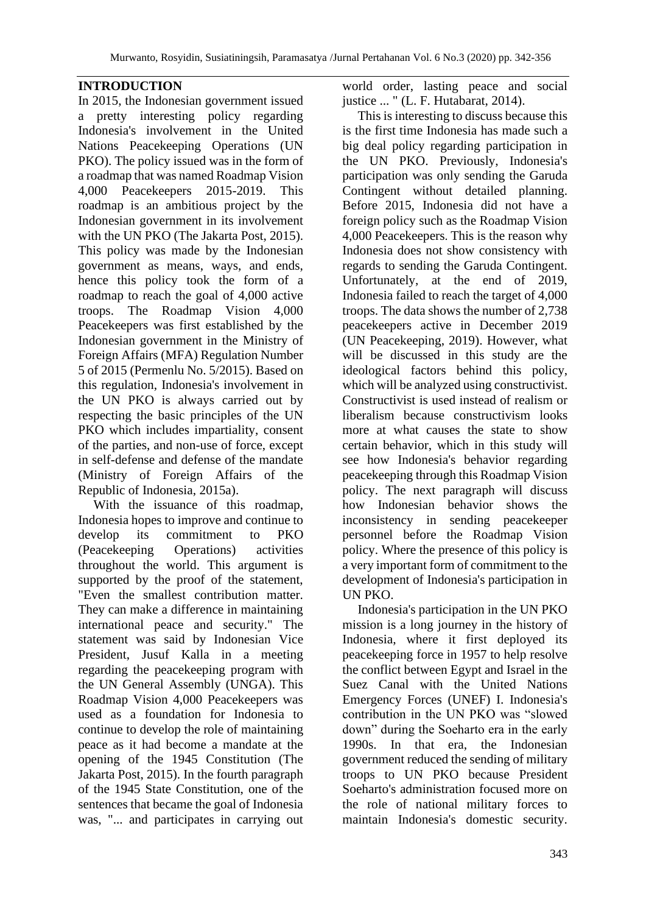## **INTRODUCTION**

In 2015, the Indonesian government issued a pretty interesting policy regarding Indonesia's involvement in the United Nations Peacekeeping Operations (UN PKO). The policy issued was in the form of a roadmap that was named Roadmap Vision 4,000 Peacekeepers 2015-2019. This roadmap is an ambitious project by the Indonesian government in its involvement with the UN PKO (The Jakarta Post, 2015). This policy was made by the Indonesian government as means, ways, and ends, hence this policy took the form of a roadmap to reach the goal of 4,000 active troops. The Roadmap Vision 4,000 Peacekeepers was first established by the Indonesian government in the Ministry of Foreign Affairs (MFA) Regulation Number 5 of 2015 (Permenlu No. 5/2015). Based on this regulation, Indonesia's involvement in the UN PKO is always carried out by respecting the basic principles of the UN PKO which includes impartiality, consent of the parties, and non-use of force, except in self-defense and defense of the mandate (Ministry of Foreign Affairs of the Republic of Indonesia, 2015a).

With the issuance of this roadmap, Indonesia hopes to improve and continue to develop its commitment to PKO (Peacekeeping Operations) activities throughout the world. This argument is supported by the proof of the statement, "Even the smallest contribution matter. They can make a difference in maintaining international peace and security." The statement was said by Indonesian Vice President, Jusuf Kalla in a meeting regarding the peacekeeping program with the UN General Assembly (UNGA). This Roadmap Vision 4,000 Peacekeepers was used as a foundation for Indonesia to continue to develop the role of maintaining peace as it had become a mandate at the opening of the 1945 Constitution (The Jakarta Post, 2015). In the fourth paragraph of the 1945 State Constitution, one of the sentences that became the goal of Indonesia was, "... and participates in carrying out

world order, lasting peace and social justice ... " (L. F. Hutabarat, 2014).

This is interesting to discuss because this is the first time Indonesia has made such a big deal policy regarding participation in the UN PKO. Previously, Indonesia's participation was only sending the Garuda Contingent without detailed planning. Before 2015, Indonesia did not have a foreign policy such as the Roadmap Vision 4,000 Peacekeepers. This is the reason why Indonesia does not show consistency with regards to sending the Garuda Contingent. Unfortunately, at the end of 2019, Indonesia failed to reach the target of 4,000 troops. The data shows the number of 2,738 peacekeepers active in December 2019 (UN Peacekeeping, 2019). However, what will be discussed in this study are the ideological factors behind this policy, which will be analyzed using constructivist. Constructivist is used instead of realism or liberalism because constructivism looks more at what causes the state to show certain behavior, which in this study will see how Indonesia's behavior regarding peacekeeping through this Roadmap Vision policy. The next paragraph will discuss how Indonesian behavior shows the inconsistency in sending peacekeeper personnel before the Roadmap Vision policy. Where the presence of this policy is a very important form of commitment to the development of Indonesia's participation in UN PKO.

Indonesia's participation in the UN PKO mission is a long journey in the history of Indonesia, where it first deployed its peacekeeping force in 1957 to help resolve the conflict between Egypt and Israel in the Suez Canal with the United Nations Emergency Forces (UNEF) I. Indonesia's contribution in the UN PKO was "slowed down" during the Soeharto era in the early 1990s. In that era, the Indonesian government reduced the sending of military troops to UN PKO because President Soeharto's administration focused more on the role of national military forces to maintain Indonesia's domestic security.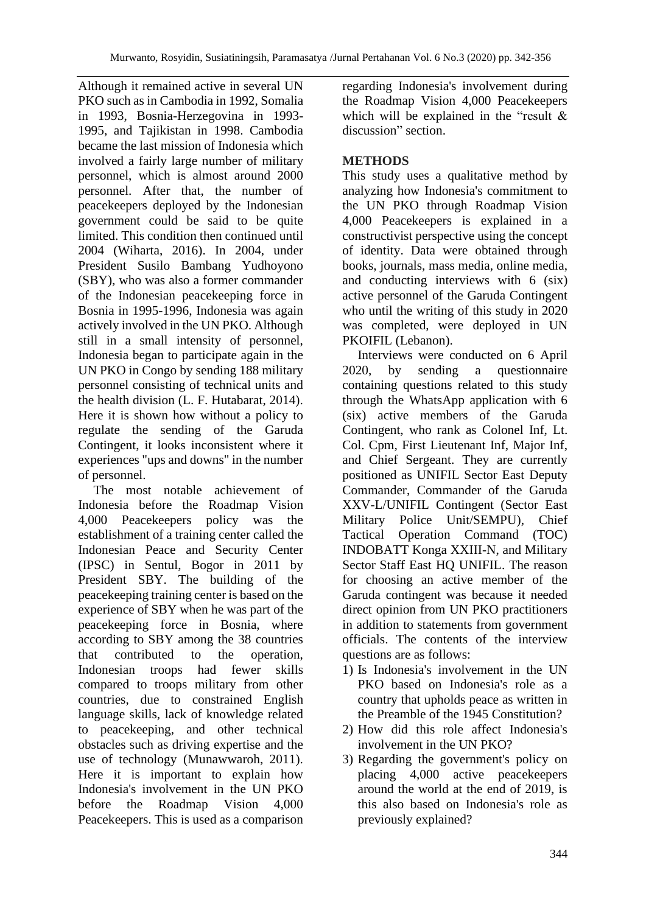Although it remained active in several UN PKO such as in Cambodia in 1992, Somalia in 1993, Bosnia-Herzegovina in 1993- 1995, and Tajikistan in 1998. Cambodia became the last mission of Indonesia which involved a fairly large number of military personnel, which is almost around 2000 personnel. After that, the number of peacekeepers deployed by the Indonesian government could be said to be quite limited. This condition then continued until 2004 (Wiharta, 2016). In 2004, under President Susilo Bambang Yudhoyono (SBY), who was also a former commander of the Indonesian peacekeeping force in Bosnia in 1995-1996, Indonesia was again actively involved in the UN PKO. Although still in a small intensity of personnel, Indonesia began to participate again in the UN PKO in Congo by sending 188 military personnel consisting of technical units and the health division (L. F. Hutabarat, 2014). Here it is shown how without a policy to regulate the sending of the Garuda Contingent, it looks inconsistent where it experiences "ups and downs" in the number of personnel.

The most notable achievement of Indonesia before the Roadmap Vision 4,000 Peacekeepers policy was the establishment of a training center called the Indonesian Peace and Security Center (IPSC) in Sentul, Bogor in 2011 by President SBY. The building of the peacekeeping training center is based on the experience of SBY when he was part of the peacekeeping force in Bosnia, where according to SBY among the 38 countries that contributed to the operation, Indonesian troops had fewer skills compared to troops military from other countries, due to constrained English language skills, lack of knowledge related to peacekeeping, and other technical obstacles such as driving expertise and the use of technology (Munawwaroh, 2011). Here it is important to explain how Indonesia's involvement in the UN PKO before the Roadmap Vision 4,000 Peacekeepers. This is used as a comparison regarding Indonesia's involvement during the Roadmap Vision 4,000 Peacekeepers which will be explained in the "result & discussion" section.

# **METHODS**

This study uses a qualitative method by analyzing how Indonesia's commitment to the UN PKO through Roadmap Vision 4,000 Peacekeepers is explained in a constructivist perspective using the concept of identity. Data were obtained through books, journals, mass media, online media, and conducting interviews with 6 (six) active personnel of the Garuda Contingent who until the writing of this study in 2020 was completed, were deployed in UN PKOIFIL (Lebanon).

Interviews were conducted on 6 April 2020, by sending a questionnaire containing questions related to this study through the WhatsApp application with 6 (six) active members of the Garuda Contingent, who rank as Colonel Inf, Lt. Col. Cpm, First Lieutenant Inf, Major Inf, and Chief Sergeant. They are currently positioned as UNIFIL Sector East Deputy Commander, Commander of the Garuda XXV-L/UNIFIL Contingent (Sector East Military Police Unit/SEMPU), Chief Tactical Operation Command (TOC) INDOBATT Konga XXIII-N, and Military Sector Staff East HQ UNIFIL. The reason for choosing an active member of the Garuda contingent was because it needed direct opinion from UN PKO practitioners in addition to statements from government officials. The contents of the interview questions are as follows:

- 1) Is Indonesia's involvement in the UN PKO based on Indonesia's role as a country that upholds peace as written in the Preamble of the 1945 Constitution?
- 2) How did this role affect Indonesia's involvement in the UN PKO?
- 3) Regarding the government's policy on placing 4,000 active peacekeepers around the world at the end of 2019, is this also based on Indonesia's role as previously explained?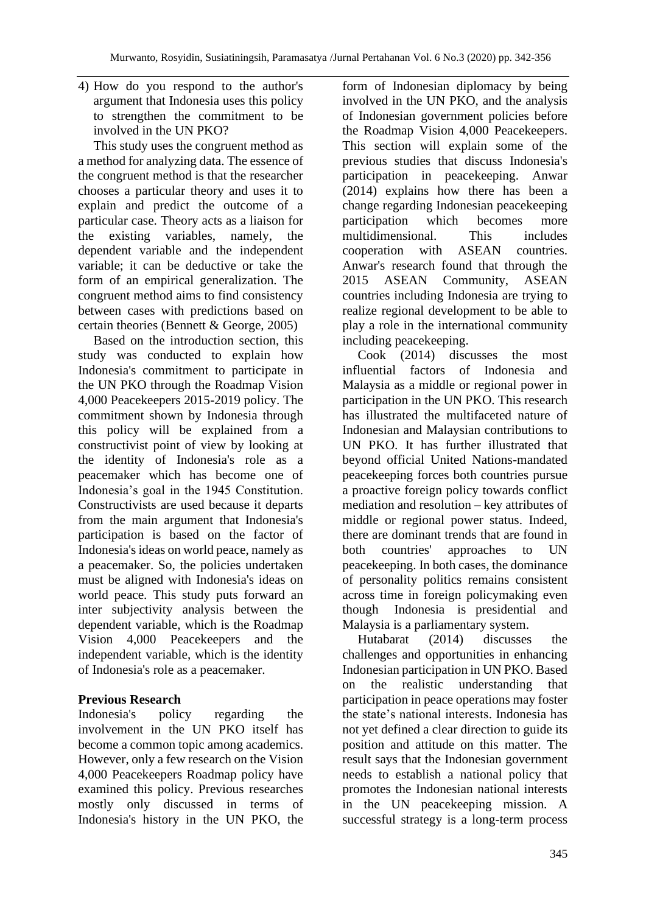4) How do you respond to the author's argument that Indonesia uses this policy to strengthen the commitment to be involved in the UN PKO?

This study uses the congruent method as a method for analyzing data. The essence of the congruent method is that the researcher chooses a particular theory and uses it to explain and predict the outcome of a particular case. Theory acts as a liaison for the existing variables, namely, the dependent variable and the independent variable; it can be deductive or take the form of an empirical generalization. The congruent method aims to find consistency between cases with predictions based on certain theories (Bennett & George, 2005)

Based on the introduction section, this study was conducted to explain how Indonesia's commitment to participate in the UN PKO through the Roadmap Vision 4,000 Peacekeepers 2015-2019 policy. The commitment shown by Indonesia through this policy will be explained from a constructivist point of view by looking at the identity of Indonesia's role as a peacemaker which has become one of Indonesia's goal in the 1945 Constitution. Constructivists are used because it departs from the main argument that Indonesia's participation is based on the factor of Indonesia's ideas on world peace, namely as a peacemaker. So, the policies undertaken must be aligned with Indonesia's ideas on world peace. This study puts forward an inter subjectivity analysis between the dependent variable, which is the Roadmap Vision 4,000 Peacekeepers and the independent variable, which is the identity of Indonesia's role as a peacemaker.

## **Previous Research**

Indonesia's policy regarding the involvement in the UN PKO itself has become a common topic among academics. However, only a few research on the Vision 4,000 Peacekeepers Roadmap policy have examined this policy. Previous researches mostly only discussed in terms of Indonesia's history in the UN PKO, the form of Indonesian diplomacy by being involved in the UN PKO, and the analysis of Indonesian government policies before the Roadmap Vision 4,000 Peacekeepers. This section will explain some of the previous studies that discuss Indonesia's participation in peacekeeping. Anwar (2014) explains how there has been a change regarding Indonesian peacekeeping participation which becomes more multidimensional. This includes cooperation with ASEAN countries. Anwar's research found that through the 2015 ASEAN Community, ASEAN countries including Indonesia are trying to realize regional development to be able to play a role in the international community including peacekeeping.

Cook (2014) discusses the most influential factors of Indonesia and Malaysia as a middle or regional power in participation in the UN PKO. This research has illustrated the multifaceted nature of Indonesian and Malaysian contributions to UN PKO. It has further illustrated that beyond official United Nations-mandated peacekeeping forces both countries pursue a proactive foreign policy towards conflict mediation and resolution – key attributes of middle or regional power status. Indeed, there are dominant trends that are found in both countries' approaches to UN peacekeeping. In both cases, the dominance of personality politics remains consistent across time in foreign policymaking even though Indonesia is presidential and Malaysia is a parliamentary system.

Hutabarat (2014) discusses the challenges and opportunities in enhancing Indonesian participation in UN PKO. Based on the realistic understanding that participation in peace operations may foster the state's national interests. Indonesia has not yet defined a clear direction to guide its position and attitude on this matter. The result says that the Indonesian government needs to establish a national policy that promotes the Indonesian national interests in the UN peacekeeping mission. A successful strategy is a long-term process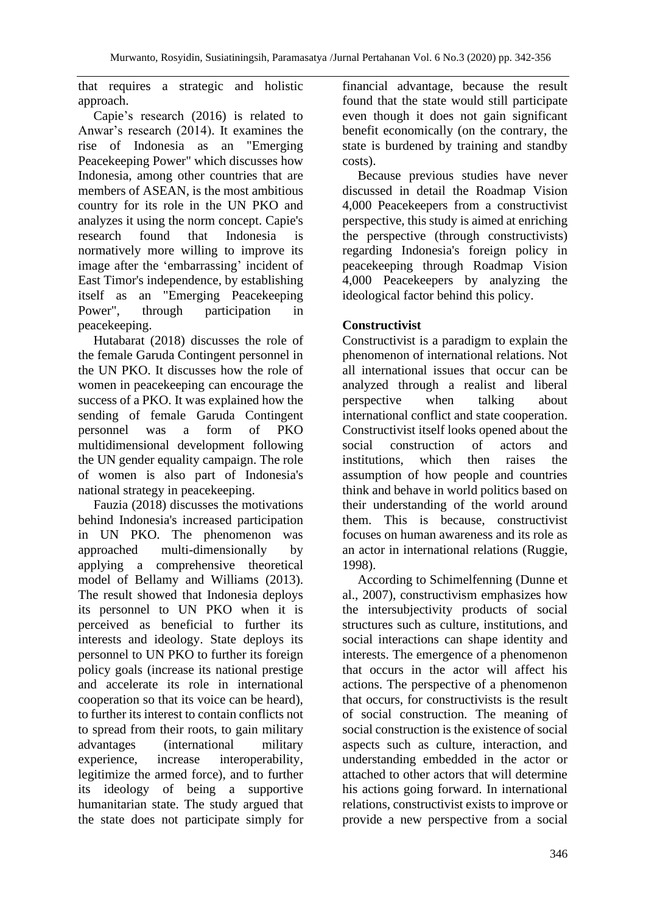that requires a strategic and holistic approach.

Capie's research (2016) is related to Anwar's research (2014). It examines the rise of Indonesia as an "Emerging Peacekeeping Power" which discusses how Indonesia, among other countries that are members of ASEAN, is the most ambitious country for its role in the UN PKO and analyzes it using the norm concept. Capie's research found that Indonesia is normatively more willing to improve its image after the 'embarrassing' incident of East Timor's independence, by establishing itself as an "Emerging Peacekeeping Power", through participation in peacekeeping.

Hutabarat (2018) discusses the role of the female Garuda Contingent personnel in the UN PKO. It discusses how the role of women in peacekeeping can encourage the success of a PKO. It was explained how the sending of female Garuda Contingent personnel was a form of PKO multidimensional development following the UN gender equality campaign. The role of women is also part of Indonesia's national strategy in peacekeeping.

Fauzia (2018) discusses the motivations behind Indonesia's increased participation in UN PKO. The phenomenon was approached multi-dimensionally by applying a comprehensive theoretical model of Bellamy and Williams (2013). The result showed that Indonesia deploys its personnel to UN PKO when it is perceived as beneficial to further its interests and ideology. State deploys its personnel to UN PKO to further its foreign policy goals (increase its national prestige and accelerate its role in international cooperation so that its voice can be heard), to further its interest to contain conflicts not to spread from their roots, to gain military advantages (international military experience, increase interoperability, legitimize the armed force), and to further its ideology of being a supportive humanitarian state. The study argued that the state does not participate simply for financial advantage, because the result found that the state would still participate even though it does not gain significant benefit economically (on the contrary, the state is burdened by training and standby costs).

Because previous studies have never discussed in detail the Roadmap Vision 4,000 Peacekeepers from a constructivist perspective, this study is aimed at enriching the perspective (through constructivists) regarding Indonesia's foreign policy in peacekeeping through Roadmap Vision 4,000 Peacekeepers by analyzing the ideological factor behind this policy.

## **Constructivist**

Constructivist is a paradigm to explain the phenomenon of international relations. Not all international issues that occur can be analyzed through a realist and liberal perspective when talking about international conflict and state cooperation. Constructivist itself looks opened about the social construction of actors and institutions, which then raises the assumption of how people and countries think and behave in world politics based on their understanding of the world around them. This is because, constructivist focuses on human awareness and its role as an actor in international relations (Ruggie, 1998).

According to Schimelfenning (Dunne et al., 2007), constructivism emphasizes how the intersubjectivity products of social structures such as culture, institutions, and social interactions can shape identity and interests. The emergence of a phenomenon that occurs in the actor will affect his actions. The perspective of a phenomenon that occurs, for constructivists is the result of social construction. The meaning of social construction is the existence of social aspects such as culture, interaction, and understanding embedded in the actor or attached to other actors that will determine his actions going forward. In international relations, constructivist exists to improve or provide a new perspective from a social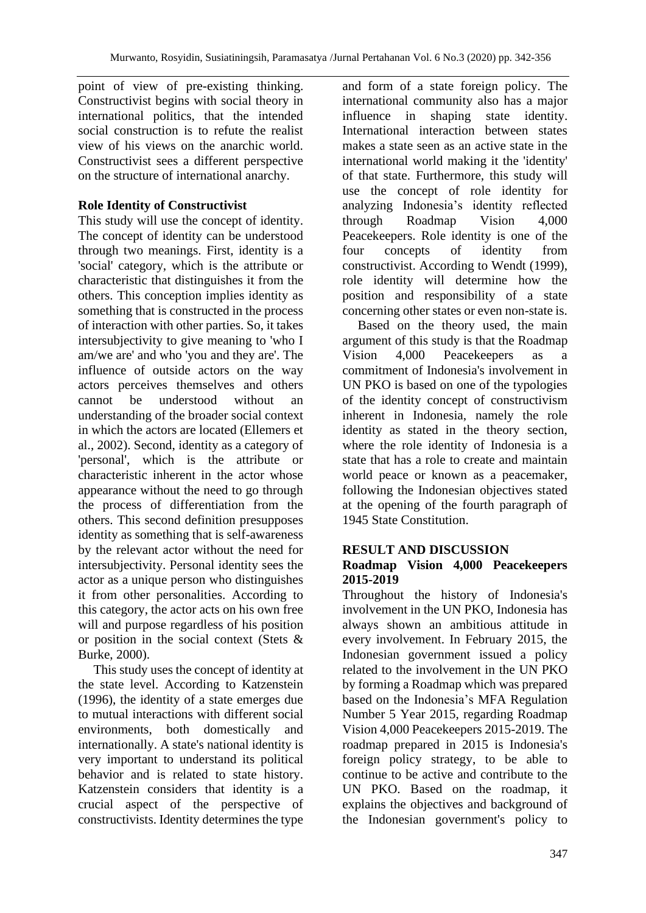point of view of pre-existing thinking. Constructivist begins with social theory in international politics, that the intended social construction is to refute the realist view of his views on the anarchic world. Constructivist sees a different perspective on the structure of international anarchy.

## **Role Identity of Constructivist**

This study will use the concept of identity. The concept of identity can be understood through two meanings. First, identity is a 'social' category, which is the attribute or characteristic that distinguishes it from the others. This conception implies identity as something that is constructed in the process of interaction with other parties. So, it takes intersubjectivity to give meaning to 'who I am/we are' and who 'you and they are'. The influence of outside actors on the way actors perceives themselves and others cannot be understood without an understanding of the broader social context in which the actors are located (Ellemers et al., 2002). Second, identity as a category of 'personal', which is the attribute or characteristic inherent in the actor whose appearance without the need to go through the process of differentiation from the others. This second definition presupposes identity as something that is self-awareness by the relevant actor without the need for intersubjectivity. Personal identity sees the actor as a unique person who distinguishes it from other personalities. According to this category, the actor acts on his own free will and purpose regardless of his position or position in the social context (Stets & Burke, 2000).

This study uses the concept of identity at the state level. According to Katzenstein (1996), the identity of a state emerges due to mutual interactions with different social environments, both domestically and internationally. A state's national identity is very important to understand its political behavior and is related to state history. Katzenstein considers that identity is a crucial aspect of the perspective of constructivists. Identity determines the type

and form of a state foreign policy. The international community also has a major influence in shaping state identity. International interaction between states makes a state seen as an active state in the international world making it the 'identity' of that state. Furthermore, this study will use the concept of role identity for analyzing Indonesia's identity reflected through Roadmap Vision 4,000 Peacekeepers. Role identity is one of the four concepts of identity from constructivist. According to Wendt (1999), role identity will determine how the position and responsibility of a state concerning other states or even non-state is.

Based on the theory used, the main argument of this study is that the Roadmap Vision 4,000 Peacekeepers as a commitment of Indonesia's involvement in UN PKO is based on one of the typologies of the identity concept of constructivism inherent in Indonesia, namely the role identity as stated in the theory section, where the role identity of Indonesia is a state that has a role to create and maintain world peace or known as a peacemaker, following the Indonesian objectives stated at the opening of the fourth paragraph of 1945 State Constitution.

#### **RESULT AND DISCUSSION Roadmap Vision 4,000 Peacekeepers 2015-2019**

Throughout the history of Indonesia's involvement in the UN PKO, Indonesia has always shown an ambitious attitude in every involvement. In February 2015, the Indonesian government issued a policy related to the involvement in the UN PKO by forming a Roadmap which was prepared based on the Indonesia's MFA Regulation Number 5 Year 2015, regarding Roadmap Vision 4,000 Peacekeepers 2015-2019. The roadmap prepared in 2015 is Indonesia's foreign policy strategy, to be able to continue to be active and contribute to the UN PKO. Based on the roadmap, it explains the objectives and background of the Indonesian government's policy to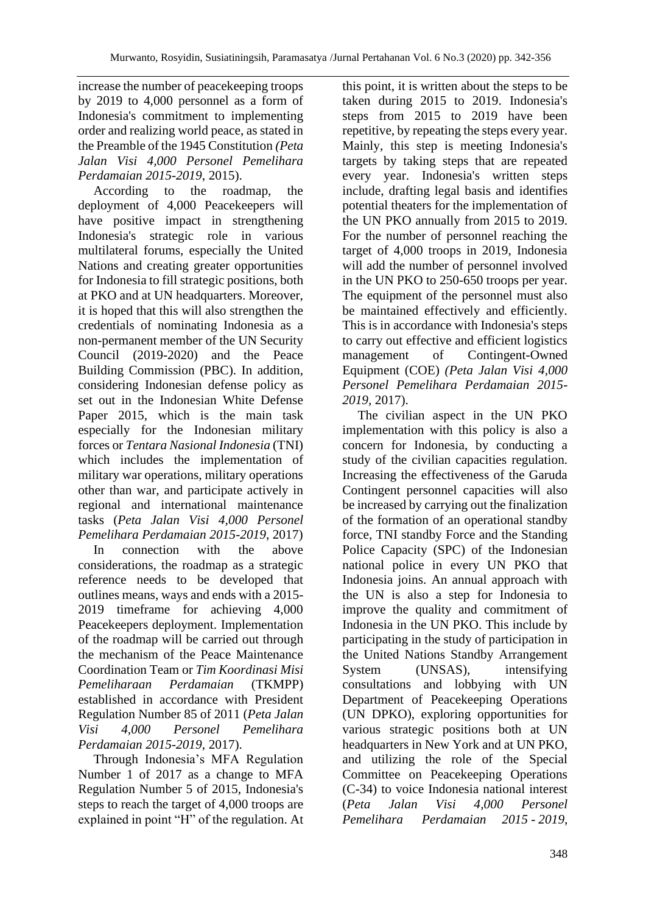increase the number of peacekeeping troops by 2019 to 4,000 personnel as a form of Indonesia's commitment to implementing order and realizing world peace, as stated in the Preamble of the 1945 Constitution *(Peta Jalan Visi 4,000 Personel Pemelihara Perdamaian 2015-2019*, 2015).

According to the roadmap, the deployment of 4,000 Peacekeepers will have positive impact in strengthening Indonesia's strategic role in various multilateral forums, especially the United Nations and creating greater opportunities for Indonesia to fill strategic positions, both at PKO and at UN headquarters. Moreover, it is hoped that this will also strengthen the credentials of nominating Indonesia as a non-permanent member of the UN Security Council (2019-2020) and the Peace Building Commission (PBC). In addition, considering Indonesian defense policy as set out in the Indonesian White Defense Paper 2015, which is the main task especially for the Indonesian military forces or *Tentara Nasional Indonesia* (TNI) which includes the implementation of military war operations, military operations other than war, and participate actively in regional and international maintenance tasks (*Peta Jalan Visi 4,000 Personel Pemelihara Perdamaian 2015-2019*, 2017)

In connection with the above considerations, the roadmap as a strategic reference needs to be developed that outlines means, ways and ends with a 2015- 2019 timeframe for achieving 4,000 Peacekeepers deployment. Implementation of the roadmap will be carried out through the mechanism of the Peace Maintenance Coordination Team or *Tim Koordinasi Misi Pemeliharaan Perdamaian* (TKMPP) established in accordance with President Regulation Number 85 of 2011 (*Peta Jalan Visi 4,000 Personel Pemelihara Perdamaian 2015-2019*, 2017).

Through Indonesia's MFA Regulation Number 1 of 2017 as a change to MFA Regulation Number 5 of 2015, Indonesia's steps to reach the target of 4,000 troops are explained in point "H" of the regulation. At this point, it is written about the steps to be taken during 2015 to 2019. Indonesia's steps from 2015 to 2019 have been repetitive, by repeating the steps every year. Mainly, this step is meeting Indonesia's targets by taking steps that are repeated every year. Indonesia's written steps include, drafting legal basis and identifies potential theaters for the implementation of the UN PKO annually from 2015 to 2019. For the number of personnel reaching the target of 4,000 troops in 2019, Indonesia will add the number of personnel involved in the UN PKO to 250-650 troops per year. The equipment of the personnel must also be maintained effectively and efficiently. This is in accordance with Indonesia's steps to carry out effective and efficient logistics management of Contingent-Owned Equipment (COE) *(Peta Jalan Visi 4,000 Personel Pemelihara Perdamaian 2015- 2019,* 2017).

The civilian aspect in the UN PKO implementation with this policy is also a concern for Indonesia, by conducting a study of the civilian capacities regulation. Increasing the effectiveness of the Garuda Contingent personnel capacities will also be increased by carrying out the finalization of the formation of an operational standby force, TNI standby Force and the Standing Police Capacity (SPC) of the Indonesian national police in every UN PKO that Indonesia joins. An annual approach with the UN is also a step for Indonesia to improve the quality and commitment of Indonesia in the UN PKO. This include by participating in the study of participation in the United Nations Standby Arrangement System (UNSAS), intensifying consultations and lobbying with UN Department of Peacekeeping Operations (UN DPKO), exploring opportunities for various strategic positions both at UN headquarters in New York and at UN PKO, and utilizing the role of the Special Committee on Peacekeeping Operations (C-34) to voice Indonesia national interest (*Peta Jalan Visi 4,000 Personel Pemelihara Perdamaian 2015 - 2019*,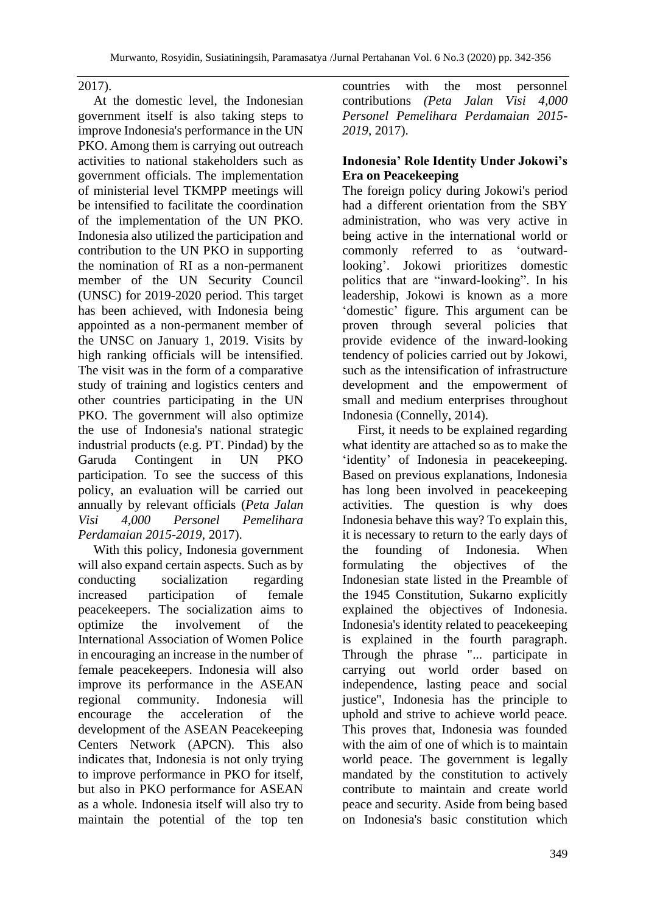2017).

At the domestic level, the Indonesian government itself is also taking steps to improve Indonesia's performance in the UN PKO. Among them is carrying out outreach activities to national stakeholders such as government officials. The implementation of ministerial level TKMPP meetings will be intensified to facilitate the coordination of the implementation of the UN PKO. Indonesia also utilized the participation and contribution to the UN PKO in supporting the nomination of RI as a non-permanent member of the UN Security Council (UNSC) for 2019-2020 period. This target has been achieved, with Indonesia being appointed as a non-permanent member of the UNSC on January 1, 2019. Visits by high ranking officials will be intensified. The visit was in the form of a comparative study of training and logistics centers and other countries participating in the UN PKO. The government will also optimize the use of Indonesia's national strategic industrial products (e.g. PT. Pindad) by the Garuda Contingent in UN PKO participation. To see the success of this policy, an evaluation will be carried out annually by relevant officials (*Peta Jalan Visi 4,000 Personel Pemelihara Perdamaian 2015-2019*, 2017).

With this policy, Indonesia government will also expand certain aspects. Such as by conducting socialization regarding increased participation of female peacekeepers. The socialization aims to optimize the involvement of the International Association of Women Police in encouraging an increase in the number of female peacekeepers. Indonesia will also improve its performance in the ASEAN regional community. Indonesia will encourage the acceleration of the development of the ASEAN Peacekeeping Centers Network (APCN). This also indicates that, Indonesia is not only trying to improve performance in PKO for itself, but also in PKO performance for ASEAN as a whole. Indonesia itself will also try to maintain the potential of the top ten countries with the most personnel contributions *(Peta Jalan Visi 4,000 Personel Pemelihara Perdamaian 2015- 2019*, 2017).

#### **Indonesia' Role Identity Under Jokowi's Era on Peacekeeping**

The foreign policy during Jokowi's period had a different orientation from the SBY administration, who was very active in being active in the international world or commonly referred to as 'outwardlooking'. Jokowi prioritizes domestic politics that are "inward-looking". In his leadership, Jokowi is known as a more 'domestic' figure. This argument can be proven through several policies that provide evidence of the inward-looking tendency of policies carried out by Jokowi, such as the intensification of infrastructure development and the empowerment of small and medium enterprises throughout Indonesia (Connelly, 2014).

First, it needs to be explained regarding what identity are attached so as to make the 'identity' of Indonesia in peacekeeping. Based on previous explanations, Indonesia has long been involved in peacekeeping activities. The question is why does Indonesia behave this way? To explain this, it is necessary to return to the early days of the founding of Indonesia. When formulating the objectives of the Indonesian state listed in the Preamble of the 1945 Constitution, Sukarno explicitly explained the objectives of Indonesia. Indonesia's identity related to peacekeeping is explained in the fourth paragraph. Through the phrase "... participate in carrying out world order based on independence, lasting peace and social justice", Indonesia has the principle to uphold and strive to achieve world peace. This proves that, Indonesia was founded with the aim of one of which is to maintain world peace. The government is legally mandated by the constitution to actively contribute to maintain and create world peace and security. Aside from being based on Indonesia's basic constitution which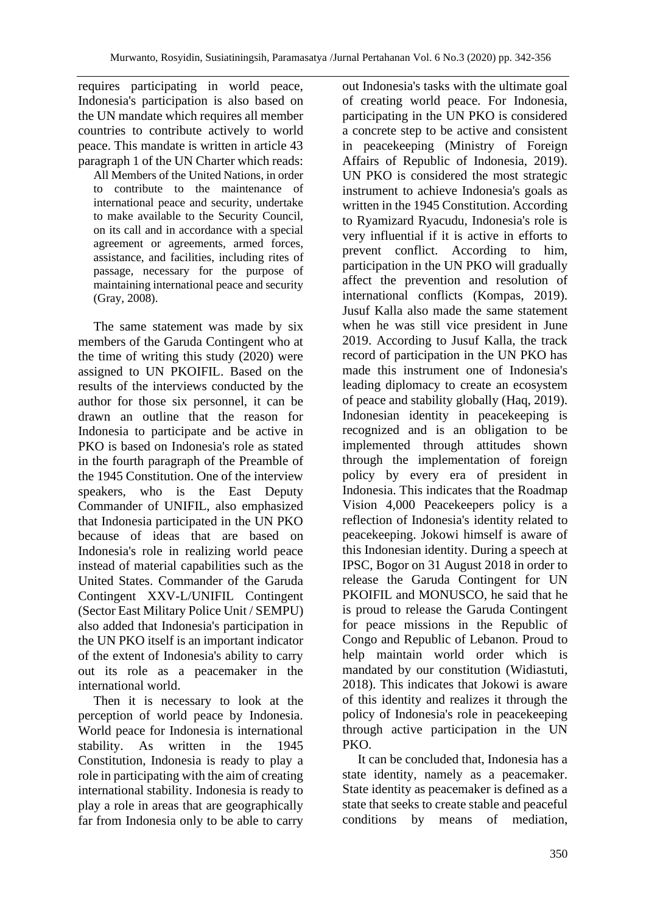requires participating in world peace, Indonesia's participation is also based on the UN mandate which requires all member countries to contribute actively to world peace. This mandate is written in article 43 paragraph 1 of the UN Charter which reads:

All Members of the United Nations, in order to contribute to the maintenance of international peace and security, undertake to make available to the Security Council, on its call and in accordance with a special agreement or agreements, armed forces, assistance, and facilities, including rites of passage, necessary for the purpose of maintaining international peace and security (Gray, 2008).

The same statement was made by six members of the Garuda Contingent who at the time of writing this study (2020) were assigned to UN PKOIFIL. Based on the results of the interviews conducted by the author for those six personnel, it can be drawn an outline that the reason for Indonesia to participate and be active in PKO is based on Indonesia's role as stated in the fourth paragraph of the Preamble of the 1945 Constitution. One of the interview speakers, who is the East Deputy Commander of UNIFIL, also emphasized that Indonesia participated in the UN PKO because of ideas that are based on Indonesia's role in realizing world peace instead of material capabilities such as the United States. Commander of the Garuda Contingent XXV-L/UNIFIL Contingent (Sector East Military Police Unit / SEMPU) also added that Indonesia's participation in the UN PKO itself is an important indicator of the extent of Indonesia's ability to carry out its role as a peacemaker in the international world.

Then it is necessary to look at the perception of world peace by Indonesia. World peace for Indonesia is international stability. As written in the 1945 Constitution, Indonesia is ready to play a role in participating with the aim of creating international stability. Indonesia is ready to play a role in areas that are geographically far from Indonesia only to be able to carry

out Indonesia's tasks with the ultimate goal of creating world peace. For Indonesia, participating in the UN PKO is considered a concrete step to be active and consistent in peacekeeping (Ministry of Foreign Affairs of Republic of Indonesia, 2019). UN PKO is considered the most strategic instrument to achieve Indonesia's goals as written in the 1945 Constitution. According to Ryamizard Ryacudu, Indonesia's role is very influential if it is active in efforts to prevent conflict. According to him, participation in the UN PKO will gradually affect the prevention and resolution of international conflicts (Kompas, 2019). Jusuf Kalla also made the same statement when he was still vice president in June 2019. According to Jusuf Kalla, the track record of participation in the UN PKO has made this instrument one of Indonesia's leading diplomacy to create an ecosystem of peace and stability globally (Haq, 2019). Indonesian identity in peacekeeping is recognized and is an obligation to be implemented through attitudes shown through the implementation of foreign policy by every era of president in Indonesia. This indicates that the Roadmap Vision 4,000 Peacekeepers policy is a reflection of Indonesia's identity related to peacekeeping. Jokowi himself is aware of this Indonesian identity. During a speech at IPSC, Bogor on 31 August 2018 in order to release the Garuda Contingent for UN PKOIFIL and MONUSCO, he said that he is proud to release the Garuda Contingent for peace missions in the Republic of Congo and Republic of Lebanon. Proud to help maintain world order which is mandated by our constitution (Widiastuti, 2018). This indicates that Jokowi is aware of this identity and realizes it through the policy of Indonesia's role in peacekeeping through active participation in the UN PKO.

It can be concluded that, Indonesia has a state identity, namely as a peacemaker. State identity as peacemaker is defined as a state that seeks to create stable and peaceful conditions by means of mediation,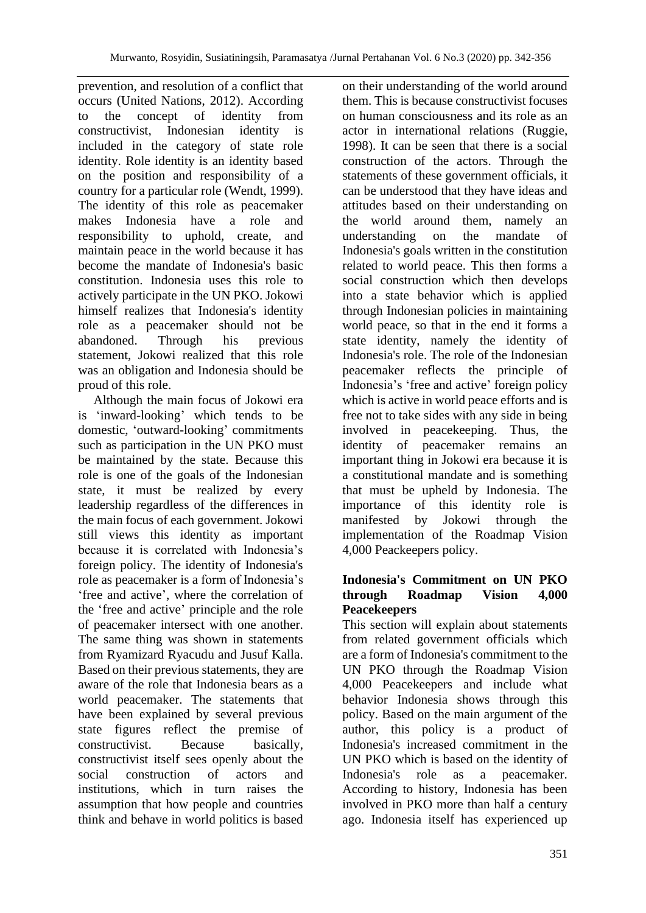prevention, and resolution of a conflict that occurs (United Nations, 2012). According to the concept of identity from constructivist, Indonesian identity is included in the category of state role identity. Role identity is an identity based on the position and responsibility of a country for a particular role (Wendt, 1999). The identity of this role as peacemaker makes Indonesia have a role and responsibility to uphold, create, and maintain peace in the world because it has become the mandate of Indonesia's basic constitution. Indonesia uses this role to actively participate in the UN PKO. Jokowi himself realizes that Indonesia's identity role as a peacemaker should not be abandoned. Through his previous statement, Jokowi realized that this role was an obligation and Indonesia should be proud of this role.

Although the main focus of Jokowi era is 'inward-looking' which tends to be domestic, 'outward-looking' commitments such as participation in the UN PKO must be maintained by the state. Because this role is one of the goals of the Indonesian state, it must be realized by every leadership regardless of the differences in the main focus of each government. Jokowi still views this identity as important because it is correlated with Indonesia's foreign policy. The identity of Indonesia's role as peacemaker is a form of Indonesia's 'free and active', where the correlation of the 'free and active' principle and the role of peacemaker intersect with one another. The same thing was shown in statements from Ryamizard Ryacudu and Jusuf Kalla. Based on their previous statements, they are aware of the role that Indonesia bears as a world peacemaker. The statements that have been explained by several previous state figures reflect the premise of constructivist. Because basically, constructivist itself sees openly about the social construction of actors and institutions, which in turn raises the assumption that how people and countries think and behave in world politics is based on their understanding of the world around them. This is because constructivist focuses on human consciousness and its role as an actor in international relations (Ruggie, 1998). It can be seen that there is a social construction of the actors. Through the statements of these government officials, it can be understood that they have ideas and attitudes based on their understanding on the world around them, namely an understanding on the mandate of Indonesia's goals written in the constitution related to world peace. This then forms a social construction which then develops into a state behavior which is applied through Indonesian policies in maintaining world peace, so that in the end it forms a state identity, namely the identity of Indonesia's role. The role of the Indonesian peacemaker reflects the principle of Indonesia's 'free and active' foreign policy which is active in world peace efforts and is free not to take sides with any side in being involved in peacekeeping. Thus, the identity of peacemaker remains an important thing in Jokowi era because it is a constitutional mandate and is something that must be upheld by Indonesia. The importance of this identity role is manifested by Jokowi through the implementation of the Roadmap Vision 4,000 Peackeepers policy.

#### **Indonesia's Commitment on UN PKO through Roadmap Vision 4,000 Peacekeepers**

This section will explain about statements from related government officials which are a form of Indonesia's commitment to the UN PKO through the Roadmap Vision 4,000 Peacekeepers and include what behavior Indonesia shows through this policy. Based on the main argument of the author, this policy is a product of Indonesia's increased commitment in the UN PKO which is based on the identity of Indonesia's role as a peacemaker. According to history, Indonesia has been involved in PKO more than half a century ago. Indonesia itself has experienced up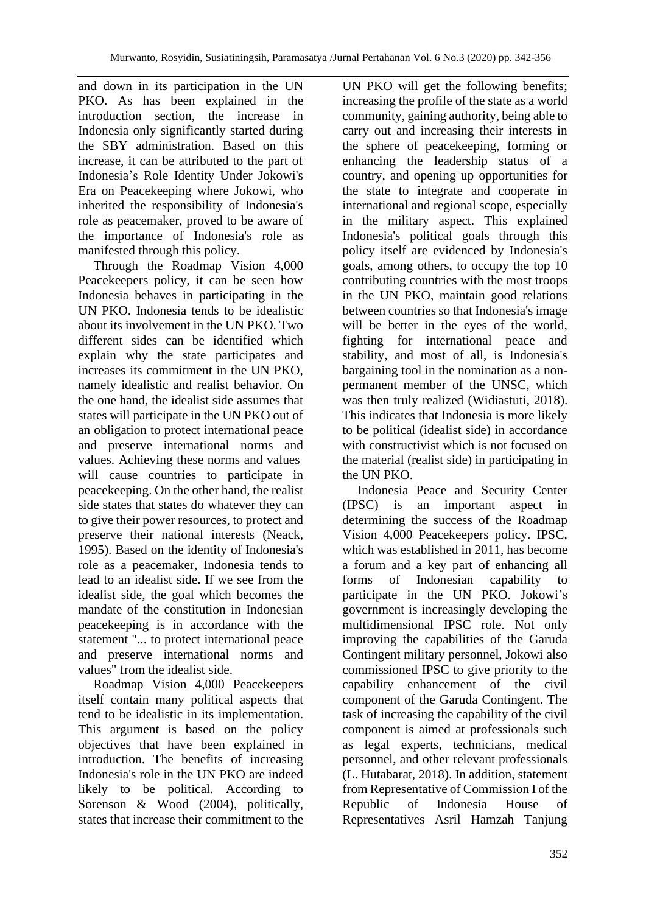and down in its participation in the UN PKO. As has been explained in the introduction section, the increase in Indonesia only significantly started during the SBY administration. Based on this increase, it can be attributed to the part of Indonesia's Role Identity Under Jokowi's Era on Peacekeeping where Jokowi, who inherited the responsibility of Indonesia's role as peacemaker, proved to be aware of the importance of Indonesia's role as manifested through this policy.

Through the Roadmap Vision 4,000 Peacekeepers policy, it can be seen how Indonesia behaves in participating in the UN PKO. Indonesia tends to be idealistic about its involvement in the UN PKO. Two different sides can be identified which explain why the state participates and increases its commitment in the UN PKO, namely idealistic and realist behavior. On the one hand, the idealist side assumes that states will participate in the UN PKO out of an obligation to protect international peace and preserve international norms and values. Achieving these norms and values will cause countries to participate in peacekeeping. On the other hand, the realist side states that states do whatever they can to give their power resources, to protect and preserve their national interests (Neack, 1995). Based on the identity of Indonesia's role as a peacemaker, Indonesia tends to lead to an idealist side. If we see from the idealist side, the goal which becomes the mandate of the constitution in Indonesian peacekeeping is in accordance with the statement "... to protect international peace and preserve international norms and values" from the idealist side.

Roadmap Vision 4,000 Peacekeepers itself contain many political aspects that tend to be idealistic in its implementation. This argument is based on the policy objectives that have been explained in introduction. The benefits of increasing Indonesia's role in the UN PKO are indeed likely to be political. According to Sorenson & Wood (2004), politically, states that increase their commitment to the

UN PKO will get the following benefits; increasing the profile of the state as a world community, gaining authority, being able to carry out and increasing their interests in the sphere of peacekeeping, forming or enhancing the leadership status of a country, and opening up opportunities for the state to integrate and cooperate in international and regional scope, especially in the military aspect. This explained Indonesia's political goals through this policy itself are evidenced by Indonesia's goals, among others, to occupy the top 10 contributing countries with the most troops in the UN PKO, maintain good relations between countries so that Indonesia's image will be better in the eyes of the world, fighting for international peace and stability, and most of all, is Indonesia's bargaining tool in the nomination as a nonpermanent member of the UNSC, which was then truly realized (Widiastuti, 2018). This indicates that Indonesia is more likely to be political (idealist side) in accordance with constructivist which is not focused on the material (realist side) in participating in the UN PKO.

Indonesia Peace and Security Center (IPSC) is an important aspect in determining the success of the Roadmap Vision 4,000 Peacekeepers policy. IPSC, which was established in 2011, has become a forum and a key part of enhancing all forms of Indonesian capability to participate in the UN PKO. Jokowi's government is increasingly developing the multidimensional IPSC role. Not only improving the capabilities of the Garuda Contingent military personnel, Jokowi also commissioned IPSC to give priority to the capability enhancement of the civil component of the Garuda Contingent. The task of increasing the capability of the civil component is aimed at professionals such as legal experts, technicians, medical personnel, and other relevant professionals (L. Hutabarat, 2018). In addition, statement from Representative of Commission I of the Republic of Indonesia House of Representatives Asril Hamzah Tanjung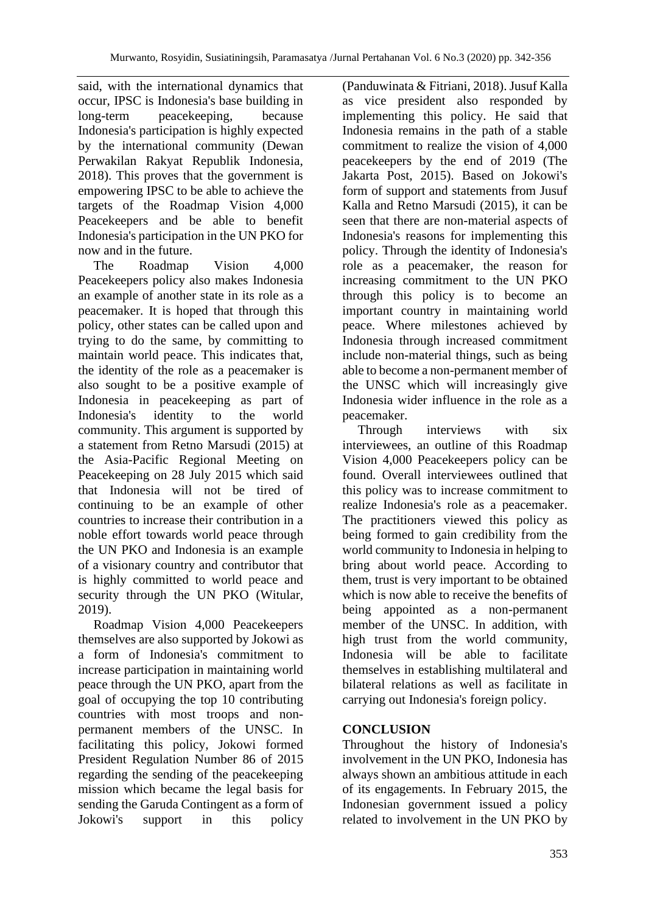said, with the international dynamics that occur, IPSC is Indonesia's base building in long-term peacekeeping, because Indonesia's participation is highly expected by the international community (Dewan Perwakilan Rakyat Republik Indonesia, 2018). This proves that the government is empowering IPSC to be able to achieve the targets of the Roadmap Vision 4,000 Peacekeepers and be able to benefit Indonesia's participation in the UN PKO for now and in the future.

The Roadmap Vision 4,000 Peacekeepers policy also makes Indonesia an example of another state in its role as a peacemaker. It is hoped that through this policy, other states can be called upon and trying to do the same, by committing to maintain world peace. This indicates that, the identity of the role as a peacemaker is also sought to be a positive example of Indonesia in peacekeeping as part of Indonesia's identity to the world community. This argument is supported by a statement from Retno Marsudi (2015) at the Asia-Pacific Regional Meeting on Peacekeeping on 28 July 2015 which said that Indonesia will not be tired of continuing to be an example of other countries to increase their contribution in a noble effort towards world peace through the UN PKO and Indonesia is an example of a visionary country and contributor that is highly committed to world peace and security through the UN PKO (Witular, 2019).

Roadmap Vision 4,000 Peacekeepers themselves are also supported by Jokowi as a form of Indonesia's commitment to increase participation in maintaining world peace through the UN PKO, apart from the goal of occupying the top 10 contributing countries with most troops and nonpermanent members of the UNSC. In facilitating this policy, Jokowi formed President Regulation Number 86 of 2015 regarding the sending of the peacekeeping mission which became the legal basis for sending the Garuda Contingent as a form of Jokowi's support in this policy (Panduwinata & Fitriani, 2018). Jusuf Kalla as vice president also responded by implementing this policy. He said that Indonesia remains in the path of a stable commitment to realize the vision of 4,000 peacekeepers by the end of 2019 (The Jakarta Post, 2015). Based on Jokowi's form of support and statements from Jusuf Kalla and Retno Marsudi (2015), it can be seen that there are non-material aspects of Indonesia's reasons for implementing this policy. Through the identity of Indonesia's role as a peacemaker, the reason for increasing commitment to the UN PKO through this policy is to become an important country in maintaining world peace. Where milestones achieved by Indonesia through increased commitment include non-material things, such as being able to become a non-permanent member of the UNSC which will increasingly give Indonesia wider influence in the role as a peacemaker.

Through interviews with six interviewees, an outline of this Roadmap Vision 4,000 Peacekeepers policy can be found. Overall interviewees outlined that this policy was to increase commitment to realize Indonesia's role as a peacemaker. The practitioners viewed this policy as being formed to gain credibility from the world community to Indonesia in helping to bring about world peace. According to them, trust is very important to be obtained which is now able to receive the benefits of being appointed as a non-permanent member of the UNSC. In addition, with high trust from the world community, Indonesia will be able to facilitate themselves in establishing multilateral and bilateral relations as well as facilitate in carrying out Indonesia's foreign policy.

## **CONCLUSION**

Throughout the history of Indonesia's involvement in the UN PKO, Indonesia has always shown an ambitious attitude in each of its engagements. In February 2015, the Indonesian government issued a policy related to involvement in the UN PKO by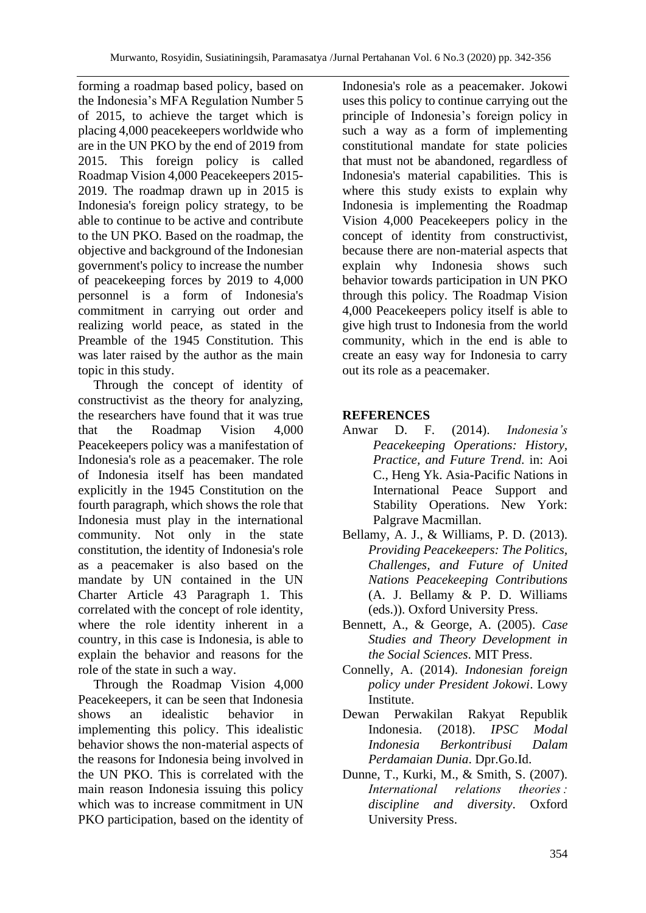forming a roadmap based policy, based on the Indonesia's MFA Regulation Number 5 of 2015, to achieve the target which is placing 4,000 peacekeepers worldwide who are in the UN PKO by the end of 2019 from 2015. This foreign policy is called Roadmap Vision 4,000 Peacekeepers 2015- 2019. The roadmap drawn up in 2015 is Indonesia's foreign policy strategy, to be able to continue to be active and contribute to the UN PKO. Based on the roadmap, the objective and background of the Indonesian government's policy to increase the number of peacekeeping forces by 2019 to 4,000 personnel is a form of Indonesia's commitment in carrying out order and realizing world peace, as stated in the Preamble of the 1945 Constitution. This was later raised by the author as the main topic in this study.

Through the concept of identity of constructivist as the theory for analyzing, the researchers have found that it was true that the Roadmap Vision 4,000 Peacekeepers policy was a manifestation of Indonesia's role as a peacemaker. The role of Indonesia itself has been mandated explicitly in the 1945 Constitution on the fourth paragraph, which shows the role that Indonesia must play in the international community. Not only in the state constitution, the identity of Indonesia's role as a peacemaker is also based on the mandate by UN contained in the UN Charter Article 43 Paragraph 1. This correlated with the concept of role identity, where the role identity inherent in a country, in this case is Indonesia, is able to explain the behavior and reasons for the role of the state in such a way.

Through the Roadmap Vision 4,000 Peacekeepers, it can be seen that Indonesia shows an idealistic behavior in implementing this policy. This idealistic behavior shows the non-material aspects of the reasons for Indonesia being involved in the UN PKO. This is correlated with the main reason Indonesia issuing this policy which was to increase commitment in UN PKO participation, based on the identity of Indonesia's role as a peacemaker. Jokowi uses this policy to continue carrying out the principle of Indonesia's foreign policy in such a way as a form of implementing constitutional mandate for state policies that must not be abandoned, regardless of Indonesia's material capabilities. This is where this study exists to explain why Indonesia is implementing the Roadmap Vision 4,000 Peacekeepers policy in the concept of identity from constructivist, because there are non-material aspects that explain why Indonesia shows such behavior towards participation in UN PKO through this policy. The Roadmap Vision 4,000 Peacekeepers policy itself is able to give high trust to Indonesia from the world community, which in the end is able to create an easy way for Indonesia to carry out its role as a peacemaker.

# **REFERENCES**

- Anwar D. F. (2014). *Indonesia's Peacekeeping Operations: History, Practice, and Future Trend*. in: Aoi C., Heng Yk. Asia-Pacific Nations in International Peace Support and Stability Operations. New York: Palgrave Macmillan.
- Bellamy, A. J., & Williams, P. D. (2013). *Providing Peacekeepers: The Politics, Challenges, and Future of United Nations Peacekeeping Contributions* (A. J. Bellamy & P. D. Williams (eds.)). Oxford University Press.
- Bennett, A., & George, A. (2005). *Case Studies and Theory Development in the Social Sciences*. MIT Press.
- Connelly, A. (2014). *Indonesian foreign policy under President Jokowi*. Lowy Institute.
- Dewan Perwakilan Rakyat Republik Indonesia. (2018). *IPSC Modal Indonesia Berkontribusi Dalam Perdamaian Dunia*. Dpr.Go.Id.
- Dunne, T., Kurki, M., & Smith, S. (2007). *International relations theories : discipline and diversity*. Oxford University Press.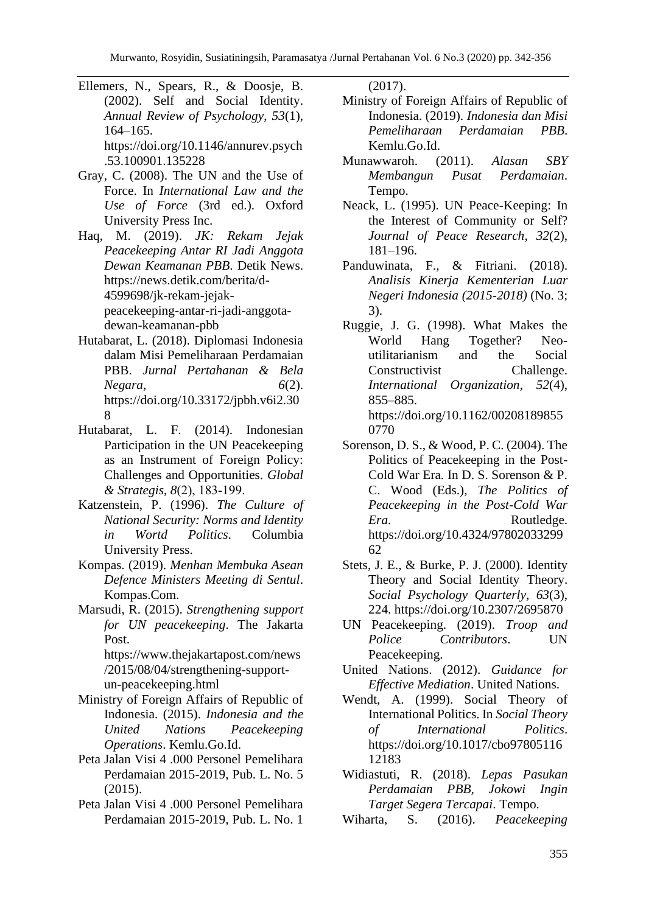- Ellemers, N., Spears, R., & Doosje, B. (2002). Self and Social Identity. *Annual Review of Psychology*, *53*(1), 164–165. https://doi.org/10.1146/annurev.psych .53.100901.135228
- Gray, C. (2008). The UN and the Use of Force. In *International Law and the Use of Force* (3rd ed.). Oxford University Press Inc.
- Haq, M. (2019). *JK: Rekam Jejak Peacekeeping Antar RI Jadi Anggota Dewan Keamanan PBB*. Detik News. https://news.detik.com/berita/d-4599698/jk-rekam-jejakpeacekeeping-antar-ri-jadi-anggotadewan-keamanan-pbb
- Hutabarat, L. (2018). Diplomasi Indonesia dalam Misi Pemeliharaan Perdamaian PBB. *Jurnal Pertahanan & Bela Negara*, *6*(2). https://doi.org/10.33172/jpbh.v6i2.30 8
- Hutabarat, L. F. (2014). Indonesian Participation in the UN Peacekeeping as an Instrument of Foreign Policy: Challenges and Opportunities. *Global & Strategis*, *8*(2), 183‐199.
- Katzenstein, P. (1996). *The Culture of National Security: Norms and Identity in Wortd Politics*. Columbia University Press.
- Kompas. (2019). *Menhan Membuka Asean Defence Ministers Meeting di Sentul*. Kompas.Com.
- Marsudi, R. (2015). *Strengthening support for UN peacekeeping*. The Jakarta Post. https://www.thejakartapost.com/news /2015/08/04/strengthening-support-

un-peacekeeping.html

- Ministry of Foreign Affairs of Republic of Indonesia. (2015). *Indonesia and the United Nations Peacekeeping Operations*. Kemlu.Go.Id.
- Peta Jalan Visi 4 .000 Personel Pemelihara Perdamaian 2015-2019, Pub. L. No. 5 (2015).
- Peta Jalan Visi 4 .000 Personel Pemelihara Perdamaian 2015-2019, Pub. L. No. 1

(2017).

- Ministry of Foreign Affairs of Republic of Indonesia. (2019). *Indonesia dan Misi Pemeliharaan Perdamaian PBB*. Kemlu.Go.Id.
- Munawwaroh. (2011). *Alasan SBY Membangun Pusat Perdamaian*. Tempo.
- Neack, L. (1995). UN Peace-Keeping: In the Interest of Community or Self? *Journal of Peace Research*, *32*(2), 181–196.
- Panduwinata, F., & Fitriani. (2018). *Analisis Kinerja Kementerian Luar Negeri Indonesia (2015-2018)* (No. 3; 3).
- Ruggie, J. G. (1998). What Makes the World Hang Together? Neoutilitarianism and the Social Constructivist Challenge. *International Organization*, *52*(4), 855–885. https://doi.org/10.1162/00208189855 0770
- Sorenson, D. S., & Wood, P. C. (2004). The Politics of Peacekeeping in the Post-Cold War Era. In D. S. Sorenson & P. C. Wood (Eds.), *The Politics of Peacekeeping in the Post-Cold War Era*. Routledge. https://doi.org/10.4324/97802033299 62
- Stets, J. E., & Burke, P. J. (2000). Identity Theory and Social Identity Theory. *Social Psychology Quarterly*, *63*(3), 224. https://doi.org/10.2307/2695870
- UN Peacekeeping. (2019). *Troop and Police Contributors*. UN Peacekeeping.
- United Nations. (2012). *Guidance for Effective Mediation*. United Nations.
- Wendt, A. (1999). Social Theory of International Politics. In *Social Theory of International Politics*. https://doi.org/10.1017/cbo97805116 12183
- Widiastuti, R. (2018). *Lepas Pasukan Perdamaian PBB, Jokowi Ingin Target Segera Tercapai*. Tempo.
- Wiharta, S. (2016). *Peacekeeping*